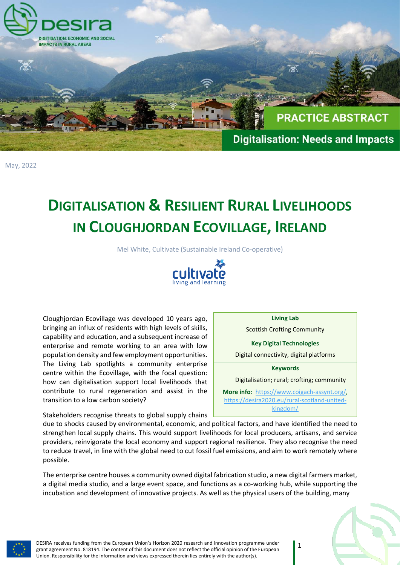

May, 2022

## **DIGITALISATION & RESILIENT RURAL LIVELIHOODS IN CLOUGHJORDAN ECOVILLAGE, IRELAND**

Mel White, Cultivate (Sustainable Ireland Co-operative)



Cloughjordan Ecovillage was developed 10 years ago, bringing an influx of residents with high levels of skills, capability and education, and a subsequent increase of enterprise and remote working to an area with low population density and few employment opportunities. The Living Lab spotlights a community enterprise centre within the Ecovillage, with the focal question: how can digitalisation support local livelihoods that contribute to rural regeneration and assist in the transition to a low carbon society?

Stakeholders recognise threats to global supply chains  $\mathsf{L}$ 

due to shocks caused by environmental, economic, and political factors, and have identified the need to strengthen local supply chains. This would support livelihoods for local producers, artisans, and service providers, reinvigorate the local economy and support regional resilience. They also recognise the need to reduce travel, in line with the global need to cut fossil fuel emissions, and aim to work remotely where possible.

The enterprise centre houses a community owned digital fabrication studio, a new digital farmers market, a digital media studio, and a large event space, and functions as a co-working hub, while supporting the incubation and development of innovative projects. As well as the physical users of the building, many